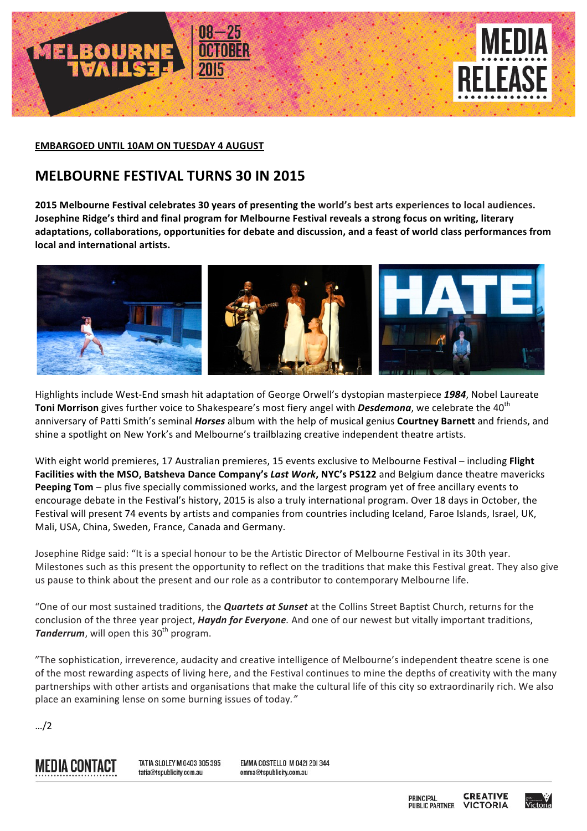

**EMBARGOED UNTIL 10AM ON TUESDAY 4 AUGUST** 

## **MELBOURNE FESTIVAL TURNS 30 IN 2015**

2015 Melbourne Festival celebrates 30 years of presenting the world's best arts experiences to local audiences. **Josephine Ridge's third and final program for Melbourne Festival reveals a strong focus on writing, literary** adaptations, collaborations, opportunities for debate and discussion, and a feast of world class performances from **local and international artists.** 



Highlights include West-End smash hit adaptation of George Orwell's dystopian masterpiece 1984, Nobel Laureate **Toni Morrison** gives further voice to Shakespeare's most fiery angel with **Desdemona**, we celebrate the 40<sup>th</sup> anniversary of Patti Smith's seminal *Horses* album with the help of musical genius Courtney Barnett and friends, and shine a spotlight on New York's and Melbourne's trailblazing creative independent theatre artists.

With eight world premieres, 17 Australian premieres, 15 events exclusive to Melbourne Festival – including Flight Facilities with the MSO, Batsheva Dance Company's Last Work, NYC's PS122 and Belgium dance theatre mavericks **Peeping Tom** – plus five specially commissioned works, and the largest program yet of free ancillary events to encourage debate in the Festival's history, 2015 is also a truly international program. Over 18 days in October, the Festival will present 74 events by artists and companies from countries including Iceland, Faroe Islands, Israel, UK, Mali, USA, China, Sweden, France, Canada and Germany.

Josephine Ridge said: "It is a special honour to be the Artistic Director of Melbourne Festival in its 30th year. Milestones such as this present the opportunity to reflect on the traditions that make this Festival great. They also give us pause to think about the present and our role as a contributor to contemporary Melbourne life.

"One of our most sustained traditions, the *Quartets at Sunset* at the Collins Street Baptist Church, returns for the conclusion of the three year project, *Haydn for Everyone*. And one of our newest but vitally important traditions, **Tanderrum**, will open this 30<sup>th</sup> program.

"The sophistication, irreverence, audacity and creative intelligence of Melbourne's independent theatre scene is one of the most rewarding aspects of living here, and the Festival continues to mine the depths of creativity with the many partnerships with other artists and organisations that make the cultural life of this city so extraordinarily rich. We also place an examining lense on some burning issues of today."

…/2



TATIA SLOLEY M 0403 305 395 tatia@tspublicity.com.au

**EMMA COSTELLO M 0421 201344** emma@tspublicity.com.au

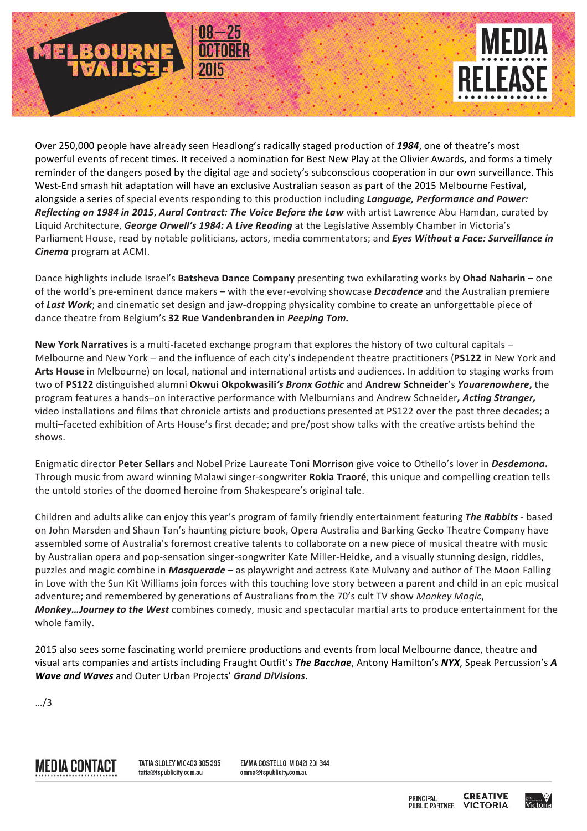

Over 250,000 people have already seen Headlong's radically staged production of 1984, one of theatre's most powerful events of recent times. It received a nomination for Best New Play at the Olivier Awards, and forms a timely reminder of the dangers posed by the digital age and society's subconscious cooperation in our own surveillance. This West-End smash hit adaptation will have an exclusive Australian season as part of the 2015 Melbourne Festival, alongside a series of special events responding to this production including *Language, Performance and Power:* **Reflecting on 1984 in 2015, Aural Contract: The Voice Before the Law with artist Lawrence Abu Hamdan, curated by** Liquid Architecture, *George Orwell's 1984: A Live Reading* at the Legislative Assembly Chamber in Victoria's Parliament House, read by notable politicians, actors, media commentators; and *Eyes Without a Face: Surveillance in Cinema* program at ACMI.

Dance highlights include Israel's Batsheva Dance Company presenting two exhilarating works by Ohad Naharin – one of the world's pre-eminent dance makers – with the ever-evolving showcase **Decadence** and the Australian premiere of Last Work; and cinematic set design and jaw-dropping physicality combine to create an unforgettable piece of dance theatre from Belgium's 32 Rue Vandenbranden in *Peeping Tom.* 

**New York Narratives** is a multi-faceted exchange program that explores the history of two cultural capitals – Melbourne and New York – and the influence of each city's independent theatre practitioners (PS122 in New York and Arts House in Melbourne) on local, national and international artists and audiences. In addition to staging works from two of PS122 distinguished alumni Okwui Okpokwasili's Bronx Gothic and Andrew Schneider's Youarenowhere, the program features a hands-on interactive performance with Melburnians and Andrew Schneider, Acting Stranger, video installations and films that chronicle artists and productions presented at PS122 over the past three decades; a multi–faceted exhibition of Arts House's first decade; and pre/post show talks with the creative artists behind the shows.

Enigmatic director Peter Sellars and Nobel Prize Laureate Toni Morrison give voice to Othello's lover in *Desdemona*. Through music from award winning Malawi singer-songwriter Rokia Traoré, this unique and compelling creation tells the untold stories of the doomed heroine from Shakespeare's original tale.

Children and adults alike can enjoy this year's program of family friendly entertainment featuring The Rabbits - based on John Marsden and Shaun Tan's haunting picture book, Opera Australia and Barking Gecko Theatre Company have assembled some of Australia's foremost creative talents to collaborate on a new piece of musical theatre with music by Australian opera and pop-sensation singer-songwriter Kate Miller-Heidke, and a visually stunning design, riddles, puzzles and magic combine in *Masquerade* – as playwright and actress Kate Mulvany and author of The Moon Falling in Love with the Sun Kit Williams join forces with this touching love story between a parent and child in an epic musical adventure; and remembered by generations of Australians from the 70's cult TV show Monkey Magic, *Monkey...Journey to the West* combines comedy, music and spectacular martial arts to produce entertainment for the whole family.

2015 also sees some fascinating world premiere productions and events from local Melbourne dance, theatre and visual arts companies and artists including Fraught Outfit's The Bacchae, Antony Hamilton's NYX, Speak Percussion's A *Wave and Waves* and Outer Urban Projects' Grand DiVisions.

…/3



TATIA SLOLEY M 0403 305 395 tatia@tspublicity.com.au

**EMMA COSTELLO M 0421 201344** emma@tspublicity.com.au